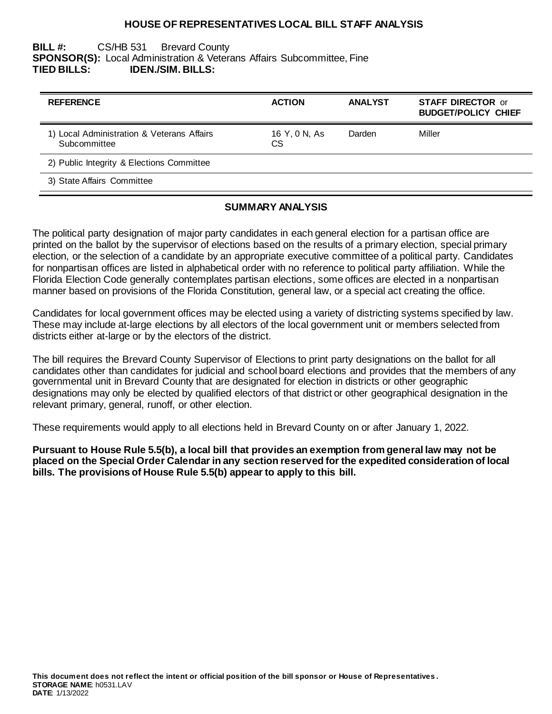### **HOUSE OF REPRESENTATIVES LOCAL BILL STAFF ANALYSIS**

## **BILL #:** CS/HB 531 Brevard County **SPONSOR(S):** Local Administration & Veterans Affairs Subcommittee, Fine **TIED BILLS: IDEN./SIM. BILLS:**

| <b>REFERENCE</b>                                           | <b>ACTION</b>       | <b>ANALYST</b> | <b>STAFF DIRECTOR or</b><br><b>BUDGET/POLICY CHIEF</b> |
|------------------------------------------------------------|---------------------|----------------|--------------------------------------------------------|
| 1) Local Administration & Veterans Affairs<br>Subcommittee | 16 Y, 0 N, As<br>СS | Darden         | Miller                                                 |
| 2) Public Integrity & Elections Committee                  |                     |                |                                                        |
| 3) State Affairs Committee                                 |                     |                |                                                        |

### **SUMMARY ANALYSIS**

The political party designation of major party candidates in each general election for a partisan office are printed on the ballot by the supervisor of elections based on the results of a primary election, special primary election, or the selection of a candidate by an appropriate executive committee of a political party. Candidates for nonpartisan offices are listed in alphabetical order with no reference to political party affiliation. While the Florida Election Code generally contemplates partisan elections, some offices are elected in a nonpartisan manner based on provisions of the Florida Constitution, general law, or a special act creating the office.

Candidates for local government offices may be elected using a variety of districting systems specified by law. These may include at-large elections by all electors of the local government unit or members selected from districts either at-large or by the electors of the district.

The bill requires the Brevard County Supervisor of Elections to print party designations on the ballot for all candidates other than candidates for judicial and school board elections and provides that the members of any governmental unit in Brevard County that are designated for election in districts or other geographic designations may only be elected by qualified electors of that district or other geographical designation in the relevant primary, general, runoff, or other election.

These requirements would apply to all elections held in Brevard County on or after January 1, 2022.

**Pursuant to House Rule 5.5(b), a local bill that provides an exemption from general law may not be placed on the Special Order Calendar in any section reserved for the expedited consideration of local bills. The provisions of House Rule 5.5(b) appear to apply to this bill.**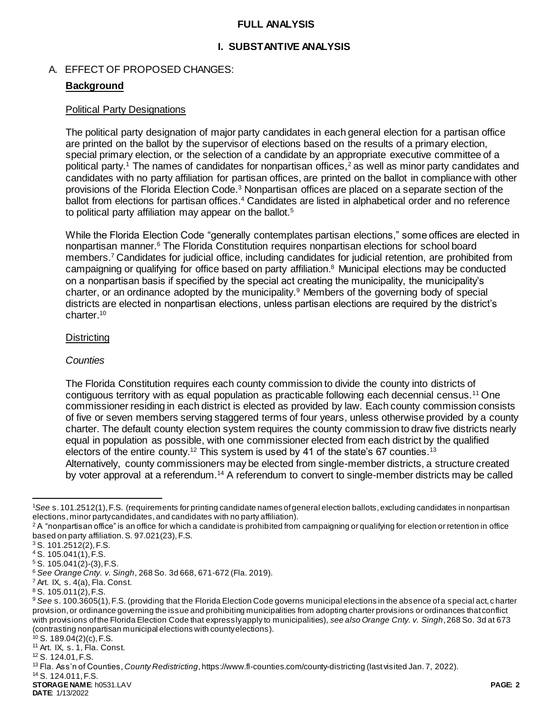### **FULL ANALYSIS**

# **I. SUBSTANTIVE ANALYSIS**

# A. EFFECT OF PROPOSED CHANGES:

# **Background**

#### Political Party Designations

The political party designation of major party candidates in each general election for a partisan office are printed on the ballot by the supervisor of elections based on the results of a primary election, special primary election, or the selection of a candidate by an appropriate executive committee of a political party.<sup>1</sup> The names of candidates for nonpartisan offices,<sup>2</sup> as well as minor party candidates and candidates with no party affiliation for partisan offices, are printed on the ballot in compliance with other provisions of the Florida Election Code.<sup>3</sup> Nonpartisan offices are placed on a separate section of the ballot from elections for partisan offices.<sup>4</sup> Candidates are listed in alphabetical order and no reference to political party affiliation may appear on the ballot.<sup>5</sup>

While the Florida Election Code "generally contemplates partisan elections." some offices are elected in nonpartisan manner.<sup>6</sup> The Florida Constitution requires nonpartisan elections for school board members.<sup>7</sup> Candidates for judicial office, including candidates for judicial retention, are prohibited from campaigning or qualifying for office based on party affiliation. <sup>8</sup> Municipal elections may be conducted on a nonpartisan basis if specified by the special act creating the municipality, the municipality's charter, or an ordinance adopted by the municipality.<sup>9</sup> Members of the governing body of special districts are elected in nonpartisan elections, unless partisan elections are required by the district's charter.<sup>10</sup>

### **Districting**

#### *Counties*

The Florida Constitution requires each county commission to divide the county into districts of contiguous territory with as equal population as practicable following each decennial census.<sup>11</sup> One commissioner residing in each district is elected as provided by law. Each county commission consists of five or seven members serving staggered terms of four years, unless otherwise provided by a county charter. The default county election system requires the county commission to draw five districts nearly equal in population as possible, with one commissioner elected from each district by the qualified electors of the entire county.<sup>12</sup> This system is used by 41 of the state's 67 counties.<sup>13</sup> Alternatively, county commissioners may be elected from single-member districts, a structure created by voter approval at a referendum.<sup>14</sup> A referendum to convert to single-member districts may be called

 $\overline{a}$ 

<sup>14</sup> S. 124.011, F.S.

**STORAGE NAME**: h0531.LAV **PAGE: 2**

<sup>1</sup>*See* s. 101.2512(1), F.S. (requirements for printing candidate names of general election ballots, excluding candidates in nonpartisan elections, minor party candidates, and candidates with no party affiliation).

 $2A$  "nonpartisan office" is an office for which a candidate is prohibited from campaigning or qualifying for election or retention in office based on party affiliation. S. 97.021(23), F.S.

<sup>3</sup> S. 101.2512(2), F.S.

<sup>4</sup> S. 105.041(1), F.S.

<sup>5</sup> S. 105.041(2)-(3), F.S.

<sup>6</sup> *See Orange Cnty. v. Singh*, 268 So. 3d 668, 671-672 (Fla. 2019).

 $<sup>7</sup>$  Art. IX, s. 4(a), Fla. Const.</sup>

<sup>8</sup> S. 105.011(2), F.S.

<sup>9</sup> *See* s. 100.3605(1), F.S. (providing that the Florida Election Code governs municipal elections in the absence of a special act, c harter provision, or ordinance governing the issue and prohibiting municipalities from adopting charter provisions or ordinances that conflict with provisions of the Florida Election Code that expressly apply to municipalities), *see also Orange Cnty. v. Singh*, 268 So. 3d at 673 (contrasting nonpartisan municipal elections with county elections).

 $10$  S. 189.04(2)(c), F.S.

<sup>11</sup> Art. IX, s. 1, Fla. Const.

<sup>12</sup> S. 124.01, F.S.

<sup>13</sup> Fla. Ass'n of Counties, *County Redistricting*, https://www.fl-counties.com/county-districting (last visited Jan. 7, 2022).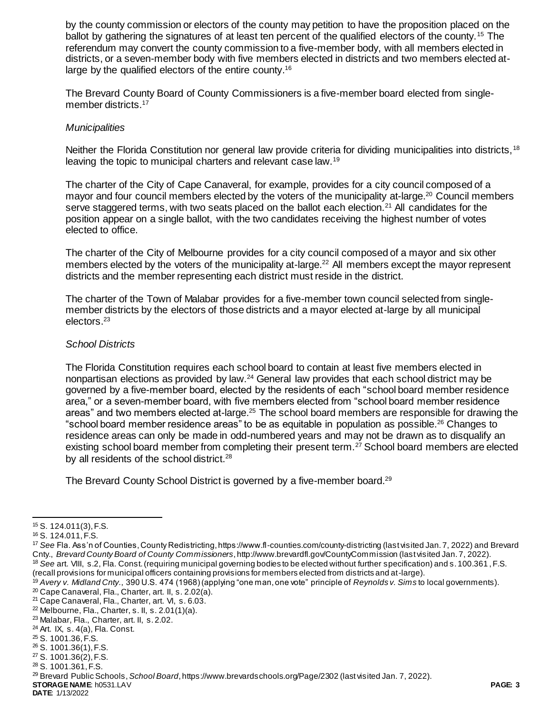by the county commission or electors of the county may petition to have the proposition placed on the ballot by gathering the signatures of at least ten percent of the qualified electors of the county.<sup>15</sup> The referendum may convert the county commission to a five-member body, with all members elected in districts, or a seven-member body with five members elected in districts and two members elected atlarge by the qualified electors of the entire county.<sup>16</sup>

The Brevard County Board of County Commissioners is a five-member board elected from singlemember districts.<sup>17</sup>

#### *Municipalities*

Neither the Florida Constitution nor general law provide criteria for dividing municipalities into districts,<sup>18</sup> leaving the topic to municipal charters and relevant case law.<sup>19</sup>

The charter of the City of Cape Canaveral, for example, provides for a city council composed of a mayor and four council members elected by the voters of the municipality at-large.<sup>20</sup> Council members serve staggered terms, with two seats placed on the ballot each election.<sup>21</sup> All candidates for the position appear on a single ballot, with the two candidates receiving the highest number of votes elected to office.

The charter of the City of Melbourne provides for a city council composed of a mayor and six other members elected by the voters of the municipality at-large.<sup>22</sup> All members except the mayor represent districts and the member representing each district must reside in the district.

The charter of the Town of Malabar provides for a five-member town council selected from singlemember districts by the electors of those districts and a mayor elected at-large by all municipal electors.<sup>23</sup>

#### *School Districts*

The Florida Constitution requires each school board to contain at least five members elected in nonpartisan elections as provided by law.<sup>24</sup> General law provides that each school district may be governed by a five-member board, elected by the residents of each "school board member residence area," or a seven-member board, with five members elected from "school board member residence areas" and two members elected at-large.<sup>25</sup> The school board members are responsible for drawing the "school board member residence areas" to be as equitable in population as possible.<sup>26</sup> Changes to residence areas can only be made in odd-numbered years and may not be drawn as to disqualify an existing school board member from completing their present term.<sup>27</sup> School board members are elected by all residents of the school district.<sup>28</sup>

The Brevard County School District is governed by a five-member board.<sup>29</sup>

 $\overline{a}$ 

<sup>25</sup> S. 1001.36, F.S.

**DATE**: 1/13/2022

<sup>15</sup> S. 124.011(3), F.S.

<sup>16</sup> S. 124.011, F.S.

<sup>17</sup> *See* Fla. Ass'n of Counties, County Redistricting, https://www.fl-counties.com/county-districting (last visited Jan. 7, 2022) and Brevard Cnty., *Brevard County Board of County Commissioners*, http://www.brevardfl.gov/CountyCommission (last visited Jan. 7, 2022). <sup>18</sup> See art. VIII, s.2, Fla. Const. (requiring municipal governing bodies to be elected without further specification) and s. 100.361, F.S.

<sup>(</sup>recall provisions for municipal officers containing provisions for members elected from districts and at-large).

<sup>19</sup> *Avery v. Midland Cnty.*, 390 U.S. 474 (1968) (applying "one man, one vote" principle of *Reynolds v. Sims* to local governments). <sup>20</sup> Cape Canaveral, Fla., Charter, art. II, s. 2.02(a).

<sup>21</sup> Cape Canaveral, Fla., Charter, art. VI, s. 6.03.

 $22$  Melbourne, Fla., Charter, s. II, s. 2.01(1)(a).

<sup>23</sup> Malabar, Fla., Charter, art. II, s. 2.02.

<sup>24</sup> Art. IX, s. 4(a), Fla. Const.

<sup>26</sup> S. 1001.36(1), F.S.

<sup>27</sup> S. 1001.36(2), F.S.

<sup>28</sup> S. 1001.361, F.S.

**STORAGE NAME**: h0531.LAV **PAGE: 3** <sup>29</sup> Brevard Public Schools, *School Board*, https://www.brevardschools.org/Page/2302 (last visited Jan. 7, 2022).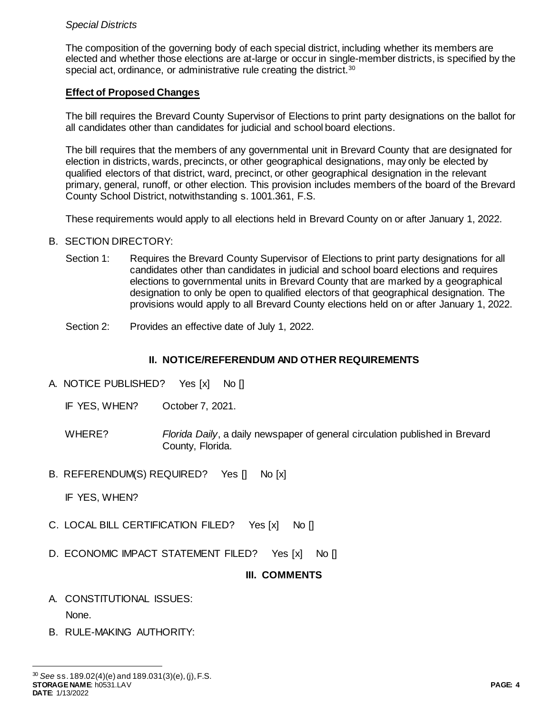# *Special Districts*

The composition of the governing body of each special district, including whether its members are elected and whether those elections are at-large or occur in single-member districts, is specified by the special act, ordinance, or administrative rule creating the district.<sup>30</sup>

# **Effect of Proposed Changes**

The bill requires the Brevard County Supervisor of Elections to print party designations on the ballot for all candidates other than candidates for judicial and school board elections.

The bill requires that the members of any governmental unit in Brevard County that are designated for election in districts, wards, precincts, or other geographical designations, may only be elected by qualified electors of that district, ward, precinct, or other geographical designation in the relevant primary, general, runoff, or other election. This provision includes members of the board of the Brevard County School District, notwithstanding s. 1001.361, F.S.

These requirements would apply to all elections held in Brevard County on or after January 1, 2022.

# B. SECTION DIRECTORY:

- Section 1: Requires the Brevard County Supervisor of Elections to print party designations for all candidates other than candidates in judicial and school board elections and requires elections to governmental units in Brevard County that are marked by a geographical designation to only be open to qualified electors of that geographical designation. The provisions would apply to all Brevard County elections held on or after January 1, 2022.
- Section 2: Provides an effective date of July 1, 2022.

# **II. NOTICE/REFERENDUM AND OTHER REQUIREMENTS**

- A. NOTICE PUBLISHED? Yes [x] No []
	- IF YES, WHEN? October 7, 2021.
	- WHERE? *Florida Daily*, a daily newspaper of general circulation published in Brevard County, Florida.
- B. REFERENDUM(S) REQUIRED? Yes [] No [x]

IF YES, WHEN?

- C. LOCAL BILL CERTIFICATION FILED? Yes [x] No []
- D. ECONOMIC IMPACT STATEMENT FILED? Yes [x] No []

# **III. COMMENTS**

A. CONSTITUTIONAL ISSUES:

None.

 $\overline{a}$ 

B. RULE-MAKING AUTHORITY: